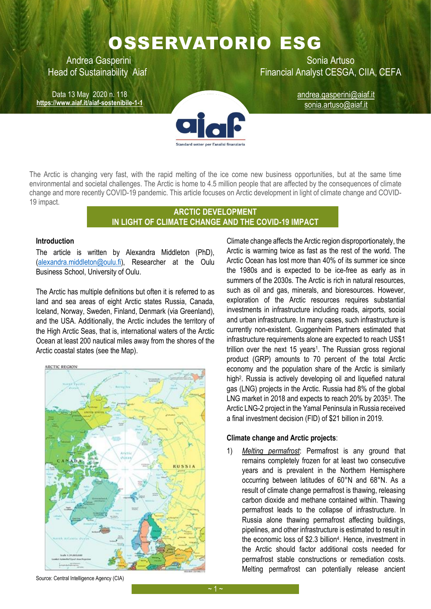# OSSERVATORIO ESG

Data 13 May 2020 n. 118 **<https://www.aiaf.it/aiaf-sostenibile-1-1>**

Andrea Gasperini **National Artuso** Sonia Artuso Head of Sustainability Aiaf **Financial Analyst CESGA, CIIA, CEFA** 

> andrea.gasperini@aiaf.it sonia.artuso@aiaf.it



The Arctic is changing very fast, with the rapid melting of the ice come new business opportunities, but at the same time environmental and societal challenges. The Arctic is home to 4.5 million people that are affected by the consequences of climate change and more recently COVID-19 pandemic. This article focuses on Arctic development in light of climate change and COVID-19 impact.

## **ARCTIC DEVELOPMENT IN LIGHT OF CLIMATE CHANGE AND THE COVID-19 IMPACT**

### **Introduction**

The article is written by Alexandra Middleton (PhD), [\(alexandra.middleton@oulu.fi\)](mailto:alexandra.middleton@oulu.fi), Researcher at the Oulu Business School, University of Oulu.

The Arctic has multiple definitions but often it is referred to as land and sea areas of eight Arctic states Russia, Canada, Iceland, Norway, Sweden, Finland, Denmark (via Greenland), and the USA. Additionally, the Arctic includes the territory of the High Arctic Seas, that is, international waters of the Arctic Ocean at least 200 nautical miles away from the shores of the Arctic coastal states (see the Map).



Climate change affects the Arctic region disproportionately, the Arctic is warming twice as fast as the rest of the world. The Arctic Ocean has lost more than 40% of its summer ice since the 1980s and is expected to be ice-free as early as in summers of the 2030s. The Arctic is rich in natural resources, such as oil and gas, minerals, and bioresources. However, exploration of the Arctic resources requires substantial investments in infrastructure including roads, airports, social and urban infrastructure. In many cases, such infrastructure is currently non-existent. Guggenheim Partners estimated that infrastructure requirements alone are expected to reach US\$1 trillion over the next 15 years<sup>1</sup>. The Russian gross regional product (GRP) amounts to 70 percent of the total Arctic economy and the population share of the Arctic is similarly high<sup>2</sup>. Russia is actively developing oil and liquefied natural gas (LNG) projects in the Arctic. Russia had 8% of the global LNG market in 2018 and expects to reach 20% by 2035<sup>3</sup>. The Arctic LNG-2 project in the Yamal Peninsula in Russia received a final investment decision (FID) of \$21 billion in 2019.

#### **Climate change and Arctic projects**:

1) *Melting permafrost*: Permafrost is any ground that remains completely frozen for at least two consecutive years and is prevalent in the Northern Hemisphere occurring between latitudes of 60°N and 68°N. As a result of climate change permafrost is thawing, releasing carbon dioxide and methane contained within. Thawing permafrost leads to the collapse of infrastructure. In Russia alone thawing permafrost affecting buildings, pipelines, and other infrastructure is estimated to result in the economic loss of \$2.3 billion<sup>4</sup> . Hence, investment in the Arctic should factor additional costs needed for permafrost stable constructions or remediation costs. Melting permafrost can potentially release ancient

Source: Central Intelligence Agency (CIA)